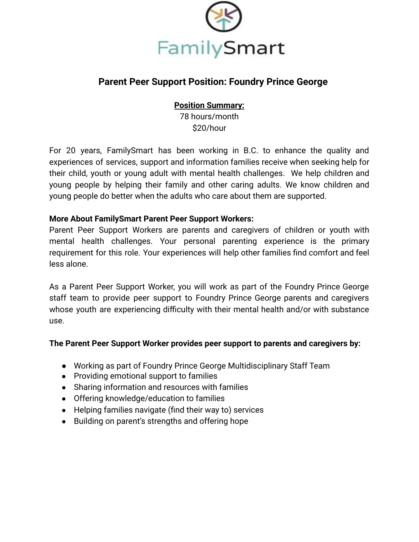

# **Parent Peer Support Position: Foundry Prince George**

### **Position Summary:**

78 hours/month \$20/hour

For 20 years, FamilySmart has been working in B.C. to enhance the quality and experiences of services, support and information families receive when seeking help for their child, youth or young adult with mental health challenges. We help children and young people by helping their family and other caring adults. We know children and young people do better when the adults who care about them are supported.

### **More About FamilySmart Parent Peer Support Workers:**

Parent Peer Support Workers are parents and caregivers of children or youth with mental health challenges. Your personal parenting experience is the primary requirement for this role. Your experiences will help other families find comfort and feel less alone.

As a Parent Peer Support Worker, you will work as part of the Foundry Prince George staff team to provide peer support to Foundry Prince George parents and caregivers whose youth are experiencing difficulty with their mental health and/or with substance use.

#### **The Parent Peer Support Worker provides peer support to parents and caregivers by:**

- Working as part of Foundry Prince George Multidisciplinary Staff Team
- Providing emotional support to families
- Sharing information and resources with families
- Offering knowledge/education to families
- Helping families navigate (find their way to) services
- Building on parent's strengths and offering hope